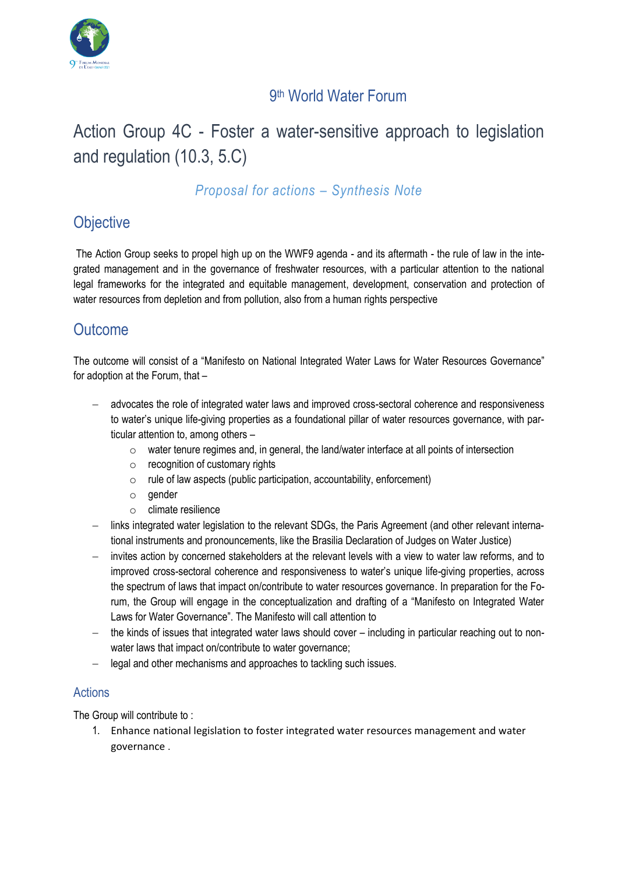

## 9 th World Water Forum

# Action Group 4C - Foster a water-sensitive approach to legislation and regulation (10.3, 5.C)

### *Proposal for actions – Synthesis Note*

# **Objective**

The Action Group seeks to propel high up on the WWF9 agenda - and its aftermath - the rule of law in the integrated management and in the governance of freshwater resources, with a particular attention to the national legal frameworks for the integrated and equitable management, development, conservation and protection of water resources from depletion and from pollution, also from a human rights perspective

# **Outcome**

The outcome will consist of a "Manifesto on National Integrated Water Laws for Water Resources Governance" for adoption at the Forum, that –

- − advocates the role of integrated water laws and improved cross-sectoral coherence and responsiveness to water's unique life-giving properties as a foundational pillar of water resources governance, with particular attention to, among others –
	- $\circ$  water tenure regimes and, in general, the land/water interface at all points of intersection
	- $\circ$  recognition of customary rights
	- $\circ$  rule of law aspects (public participation, accountability, enforcement)
	- $\circ$  gender
	- o climate resilience
- − links integrated water legislation to the relevant SDGs, the Paris Agreement (and other relevant international instruments and pronouncements, like the Brasilia Declaration of Judges on Water Justice)
- invites action by concerned stakeholders at the relevant levels with a view to water law reforms, and to improved cross-sectoral coherence and responsiveness to water's unique life-giving properties, across the spectrum of laws that impact on/contribute to water resources governance. In preparation for the Forum, the Group will engage in the conceptualization and drafting of a "Manifesto on Integrated Water Laws for Water Governance". The Manifesto will call attention to
- − the kinds of issues that integrated water laws should cover including in particular reaching out to nonwater laws that impact on/contribute to water governance;
- − legal and other mechanisms and approaches to tackling such issues.

### **Actions**

The Group will contribute to :

1. Enhance national legislation to foster integrated water resources management and water governance .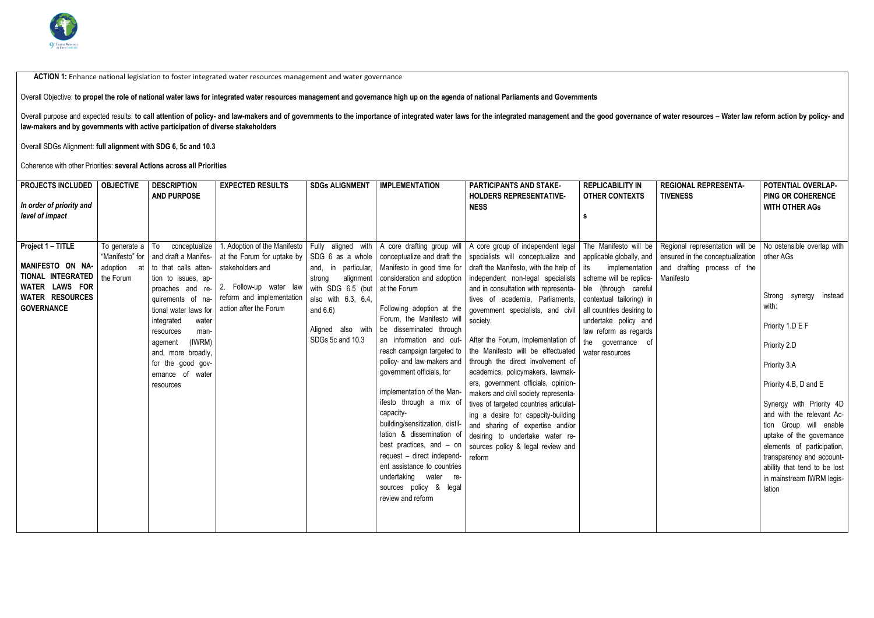

ACTION 1: Enhance national legislation to foster integrated water resources management and water governance

| Overall Objective: to propel the role of national water laws for integrated water resources management and governance high up on the agenda of national Parliaments and Governments                                                                                                                               |                                             |                                                                                                                                                                                                                                                                                                                            |                                                                                                                                                                 |                                                                                                                                                                                                               |                                                                                                                                                                                                                                                                                                                                                                                                                                                                                                                                                                                                                                       |                                                                                                                                                                                                                                                                                                                                                                                                                                                                                                                                                                                                                                                                                                                                                                                                                 |                                                                                                                                                                                                                     |                                                                                                                                  |                                                                                                                                                                                                                                                                                                                                                                     |
|-------------------------------------------------------------------------------------------------------------------------------------------------------------------------------------------------------------------------------------------------------------------------------------------------------------------|---------------------------------------------|----------------------------------------------------------------------------------------------------------------------------------------------------------------------------------------------------------------------------------------------------------------------------------------------------------------------------|-----------------------------------------------------------------------------------------------------------------------------------------------------------------|---------------------------------------------------------------------------------------------------------------------------------------------------------------------------------------------------------------|---------------------------------------------------------------------------------------------------------------------------------------------------------------------------------------------------------------------------------------------------------------------------------------------------------------------------------------------------------------------------------------------------------------------------------------------------------------------------------------------------------------------------------------------------------------------------------------------------------------------------------------|-----------------------------------------------------------------------------------------------------------------------------------------------------------------------------------------------------------------------------------------------------------------------------------------------------------------------------------------------------------------------------------------------------------------------------------------------------------------------------------------------------------------------------------------------------------------------------------------------------------------------------------------------------------------------------------------------------------------------------------------------------------------------------------------------------------------|---------------------------------------------------------------------------------------------------------------------------------------------------------------------------------------------------------------------|----------------------------------------------------------------------------------------------------------------------------------|---------------------------------------------------------------------------------------------------------------------------------------------------------------------------------------------------------------------------------------------------------------------------------------------------------------------------------------------------------------------|
| Overall purpose and expected results: to call attention of policy- and law-makers and of governments to the importance of integrated water laws for the integrated management and the good governance of water resources - Wat<br>law-makers and by governments with active participation of diverse stakeholders |                                             |                                                                                                                                                                                                                                                                                                                            |                                                                                                                                                                 |                                                                                                                                                                                                               |                                                                                                                                                                                                                                                                                                                                                                                                                                                                                                                                                                                                                                       |                                                                                                                                                                                                                                                                                                                                                                                                                                                                                                                                                                                                                                                                                                                                                                                                                 |                                                                                                                                                                                                                     |                                                                                                                                  |                                                                                                                                                                                                                                                                                                                                                                     |
| Overall SDGs Alignment: full alignment with SDG 6, 5c and 10.3                                                                                                                                                                                                                                                    |                                             |                                                                                                                                                                                                                                                                                                                            |                                                                                                                                                                 |                                                                                                                                                                                                               |                                                                                                                                                                                                                                                                                                                                                                                                                                                                                                                                                                                                                                       |                                                                                                                                                                                                                                                                                                                                                                                                                                                                                                                                                                                                                                                                                                                                                                                                                 |                                                                                                                                                                                                                     |                                                                                                                                  |                                                                                                                                                                                                                                                                                                                                                                     |
| Coherence with other Priorities: several Actions across all Priorities                                                                                                                                                                                                                                            |                                             |                                                                                                                                                                                                                                                                                                                            |                                                                                                                                                                 |                                                                                                                                                                                                               |                                                                                                                                                                                                                                                                                                                                                                                                                                                                                                                                                                                                                                       |                                                                                                                                                                                                                                                                                                                                                                                                                                                                                                                                                                                                                                                                                                                                                                                                                 |                                                                                                                                                                                                                     |                                                                                                                                  |                                                                                                                                                                                                                                                                                                                                                                     |
| <b>PROJECTS INCLUDED</b><br>In order of priority and<br>level of impact                                                                                                                                                                                                                                           | <b>OBJECTIVE</b>                            | <b>DESCRIPTION</b><br><b>AND PURPOSE</b>                                                                                                                                                                                                                                                                                   | <b>EXPECTED RESULTS</b>                                                                                                                                         | <b>SDGs ALIGNMENT</b>                                                                                                                                                                                         | <b>IMPLEMENTATION</b>                                                                                                                                                                                                                                                                                                                                                                                                                                                                                                                                                                                                                 | <b>PARTICIPANTS AND STAKE-</b><br><b>HOLDERS REPRESENTATIVE-</b><br><b>NESS</b>                                                                                                                                                                                                                                                                                                                                                                                                                                                                                                                                                                                                                                                                                                                                 | <b>REPLICABILITY IN</b><br><b>OTHER CONTEXTS</b><br>S                                                                                                                                                               | <b>REGIONAL REPRESENTA-</b><br><b>TIVENESS</b>                                                                                   | POTENTIAL OVERLAP-<br><b>PING OR COHERENCE</b><br><b>WITH OTHER AGS</b>                                                                                                                                                                                                                                                                                             |
| Project 1 - TITLE<br>MANIFESTO ON NA-<br>TIONAL INTEGRATED<br>WATER LAWS FOR<br><b>WATER RESOURCES</b><br><b>GOVERNANCE</b>                                                                                                                                                                                       | To generate a   To<br>adoption<br>the Forum | conceptualize<br>"Manifesto" for   and draft a Manifes-  <br>at to that calls atten-<br>tion to issues, ap-<br>proaches and re-<br>quirements of na-<br>tional water laws for<br>integrated<br>water<br>resources<br>man-<br>(IWRM)<br>agement<br>and, more broadly,<br>for the good gov-<br>ernance of water<br>resources | 1. Adoption of the Manifesto<br>at the Forum for uptake by<br>stakeholders and<br>2. Follow-up water law<br>reform and implementation<br>action after the Forum | Fully aligned with<br>SDG 6 as a whole<br>and, in particular,<br>alignment<br>strong<br>with SDG 6.5 (but $\vert$ at the Forum<br>also with 6.3, 6.4,<br>and $6.6$ )<br>Aligned also with<br>SDGs 5c and 10.3 | A core drafting group will<br>conceptualize and draft the<br>Manifesto in good time for<br>consideration and adoption<br>Following adoption at the<br>Forum, the Manifesto will<br>be disseminated through<br>an information and out-<br>reach campaign targeted to<br>policy- and law-makers and<br>government officials, for<br>implementation of the Man-<br>ifesto through a mix of<br>capacity-<br>building/sensitization, distil-<br>lation & dissemination of<br>best practices, and - on<br>request - direct independ-<br>ent assistance to countries<br>undertaking water re-<br>sources policy & legal<br>review and reform | A core group of independent legal<br>specialists will conceptualize and   applicable globally, and   ensured in the conceptualization   other AGs<br>draft the Manifesto, with the help of $\vert$ its<br>independent non-legal specialists<br>and in consultation with representa-<br>tives of academia, Parliaments,<br>government specialists, and civil<br>society.<br>After the Forum, implementation of<br>the Manifesto will be effectuated<br>through the direct involvement of<br>academics, policymakers, lawmak-<br>ers, government officials, opinion-<br>makers and civil society representa-<br>tives of targeted countries articulat-<br>ing a desire for capacity-building<br>and sharing of expertise and/or<br>desiring to undertake water re-<br>sources policy & legal review and<br>reform | implementation<br>scheme will be replica-<br>ble (through careful<br>contextual tailoring) in<br>all countries desiring to<br>undertake policy and<br>law reform as regards<br>the governance of<br>water resources | The Manifesto will be   Regional representation will be   No ostensible overlap with<br>and drafting process of the<br>Manifesto | Strong<br>instead<br>synergy<br>with:<br>Priority 1.D E F<br>Priority 2.D<br>Priority 3.A<br>Priority 4.B, D and E<br>Synergy with Priority 4D<br>and with the relevant Ac-<br>tion Group will enable<br>uptake of the governance<br>elements of participation,<br>transparency and account-<br>ability that tend to be lost<br>in mainstream IWRM legis-<br>lation |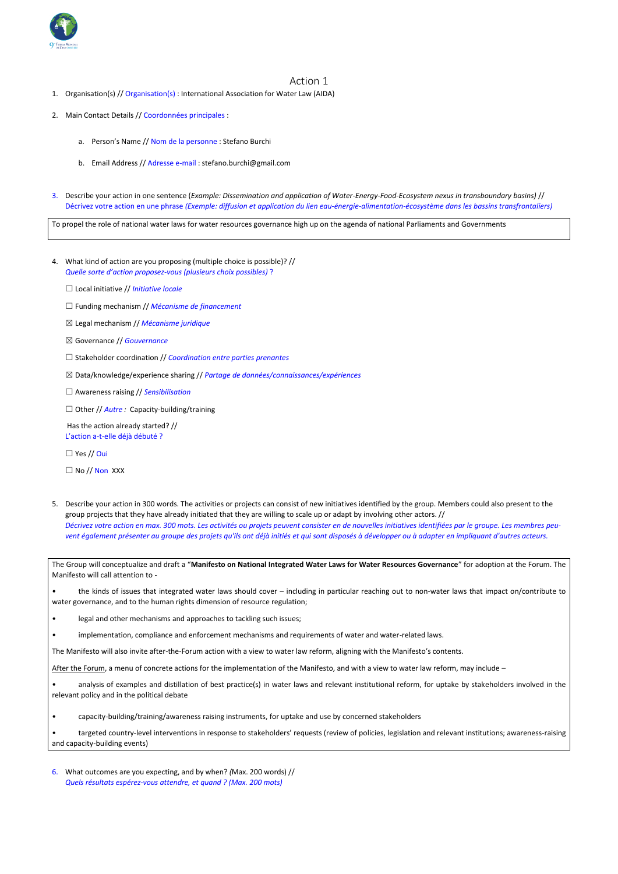

#### Action 1

- 1. Organisation(s) // Organisation(s) : International Association for Water Law (AIDA)
- 2. Main Contact Details // Coordonnées principales :
	- a. Person's Name // Nom de la personne : Stefano Burchi
	- b. Email Address // Adresse e-mail : stefano.burchi@gmail.com
- 3. Describe your action in one sentence (*Example: Dissemination and application of Water-Energy-Food-Ecosystem nexus in transboundary basins)* // Décrivez votre action en une phrase *(Exemple: diffusion et application du lien eau-énergie-alimentation-écosystème dans les bassins transfrontaliers)*

To propel the role of national water laws for water resources governance high up on the agenda of national Parliaments and Governments

4. What kind of action are you proposing (multiple choice is possible)? // *Quelle sorte d'action proposez-vous (plusieurs choix possibles)* ?

☐ Local initiative // *Initiative locale*

- ☐ Funding mechanism // *Mécanisme de financement*
- ☒ Legal mechanism // *Mécanisme juridique*
- ☒ Governance // *Gouvernance*
- ☐ Stakeholder coordination // *Coordination entre parties prenantes*
- ☒ Data/knowledge/experience sharing // *Partage de données/connaissances/expériences*
- ☐ Awareness raising // *Sensibilisation*
- ☐ Other // *Autre :* Capacity-building/training

Has the action already started? // L'action a-t-elle déjà débuté ?

☐ Yes // Oui

 $\Box$  No // Non XXX

5. Describe your action in 300 words. The activities or projects can consist of new initiatives identified by the group. Members could also present to the group projects that they have already initiated that they are willing to scale up or adapt by involving other actors. // *Décrivez votre action en max. 300 mots. Les activités ou projets peuvent consister en de nouvelles initiatives identifiées par le groupe. Les membres peuvent également présenter au groupe des projets qu'ils ont déjà initiés et qui sont disposés à développer ou à adapter en impliquant d'autres acteurs.*

The Group will conceptualize and draft a "**Manifesto on National Integrated Water Laws for Water Resources Governance**" for adoption at the Forum. The Manifesto will call attention to -

- the kinds of issues that integrated water laws should cover including in particular reaching out to non-water laws that impact on/contribute to water governance, and to the human rights dimension of resource regulation;
- legal and other mechanisms and approaches to tackling such issues;
- implementation, compliance and enforcement mechanisms and requirements of water and water-related laws.

The Manifesto will also invite after-the-Forum action with a view to water law reform, aligning with the Manifesto's contents.

After the Forum, a menu of concrete actions for the implementation of the Manifesto, and with a view to water law reform, may include –

• analysis of examples and distillation of best practice(s) in water laws and relevant institutional reform, for uptake by stakeholders involved in the relevant policy and in the political debate

- capacity-building/training/awareness raising instruments, for uptake and use by concerned stakeholders
- targeted country-level interventions in response to stakeholders' requests (review of policies, legislation and relevant institutions; awareness-raising and capacity-building events)

6. What outcomes are you expecting, and by when? *(*Max. 200 words) // *Quels résultats espérez-vous attendre, et quand ? (Max. 200 mots)*